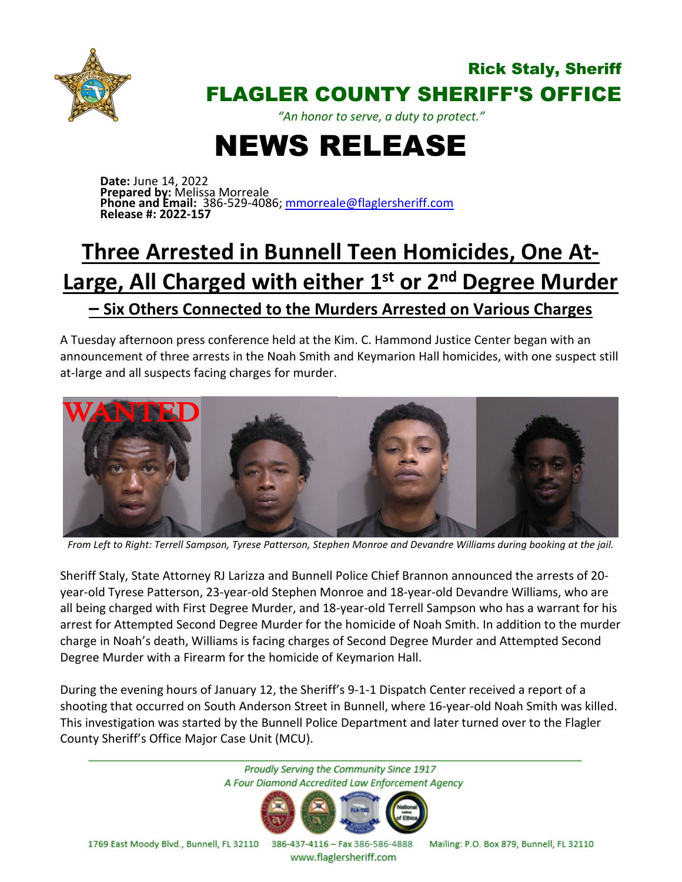

## Rick Staly, Sheriff FLAGLER COUNTY SHERIFF'S OFFICE

*"An honor to serve, a duty to protect."*

## NEWS RELEASE

**Date:** June 14, 2022 **Prepared by:** Melissa Morreale **Phone and Email:** 386-529-4086; [mmorreale@flaglersheriff.com](mailto:mmorreale@flaglersheriff.com) **Release #: 2022-157**

## **Three Arrested in Bunnell Teen Homicides, One At-Large, All Charged with either 1st or 2nd Degree Murder – Six Others Connected to the Murders Arrested on Various Charges**

A Tuesday afternoon press conference held at the Kim. C. Hammond Justice Center began with an announcement of three arrests in the Noah Smith and Keymarion Hall homicides, with one suspect still at-large and all suspects facing charges for murder.



*From Left to Right: Terrell Sampson, Tyrese Patterson, Stephen Monroe and Devandre Williams during booking at the jail.*

Sheriff Staly, State Attorney RJ Larizza and Bunnell Police Chief Brannon announced the arrests of 20 year-old Tyrese Patterson, 23-year-old Stephen Monroe and 18-year-old Devandre Williams, who are all being charged with First Degree Murder, and 18-year-old Terrell Sampson who has a warrant for his arrest for Attempted Second Degree Murder for the homicide of Noah Smith. In addition to the murder charge in Noah's death, Williams is facing charges of Second Degree Murder and Attempted Second Degree Murder with a Firearm for the homicide of Keymarion Hall.

During the evening hours of January 12, the Sheriff's 9-1-1 Dispatch Center received a report of a shooting that occurred on South Anderson Street in Bunnell, where 16-year-old Noah Smith was killed. This investigation was started by the Bunnell Police Department and later turned over to the Flagler County Sheriff's Office Major Case Unit (MCU).

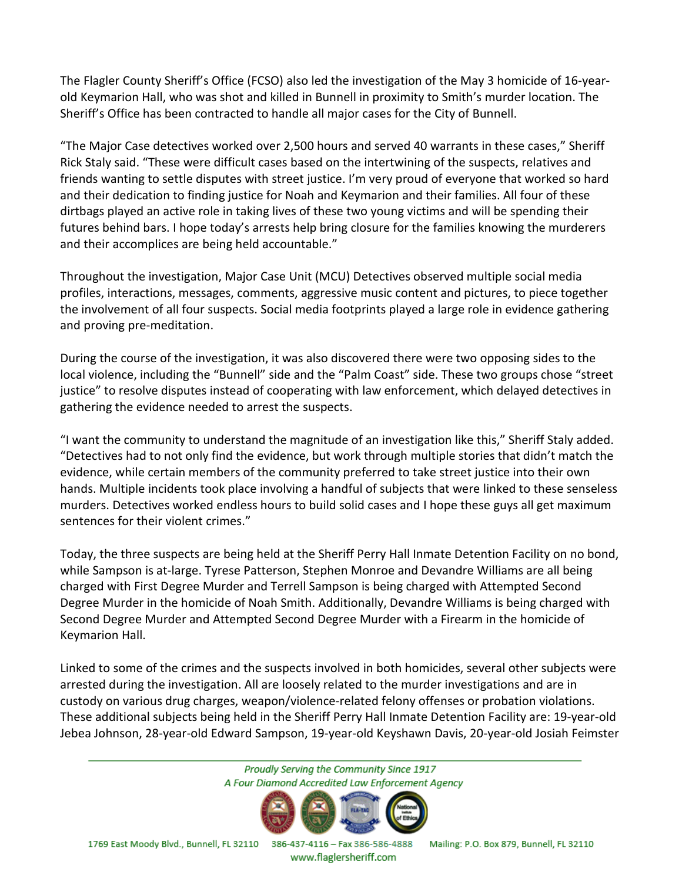The Flagler County Sheriff's Office (FCSO) also led the investigation of the May 3 homicide of 16-yearold Keymarion Hall, who was shot and killed in Bunnell in proximity to Smith's murder location. The Sheriff's Office has been contracted to handle all major cases for the City of Bunnell.

"The Major Case detectives worked over 2,500 hours and served 40 warrants in these cases," Sheriff Rick Staly said. "These were difficult cases based on the intertwining of the suspects, relatives and friends wanting to settle disputes with street justice. I'm very proud of everyone that worked so hard and their dedication to finding justice for Noah and Keymarion and their families. All four of these dirtbags played an active role in taking lives of these two young victims and will be spending their futures behind bars. I hope today's arrests help bring closure for the families knowing the murderers and their accomplices are being held accountable."

Throughout the investigation, Major Case Unit (MCU) Detectives observed multiple social media profiles, interactions, messages, comments, aggressive music content and pictures, to piece together the involvement of all four suspects. Social media footprints played a large role in evidence gathering and proving pre-meditation.

During the course of the investigation, it was also discovered there were two opposing sides to the local violence, including the "Bunnell" side and the "Palm Coast" side. These two groups chose "street justice" to resolve disputes instead of cooperating with law enforcement, which delayed detectives in gathering the evidence needed to arrest the suspects.

"I want the community to understand the magnitude of an investigation like this," Sheriff Staly added. "Detectives had to not only find the evidence, but work through multiple stories that didn't match the evidence, while certain members of the community preferred to take street justice into their own hands. Multiple incidents took place involving a handful of subjects that were linked to these senseless murders. Detectives worked endless hours to build solid cases and I hope these guys all get maximum sentences for their violent crimes."

Today, the three suspects are being held at the Sheriff Perry Hall Inmate Detention Facility on no bond, while Sampson is at-large. Tyrese Patterson, Stephen Monroe and Devandre Williams are all being charged with First Degree Murder and Terrell Sampson is being charged with Attempted Second Degree Murder in the homicide of Noah Smith. Additionally, Devandre Williams is being charged with Second Degree Murder and Attempted Second Degree Murder with a Firearm in the homicide of Keymarion Hall.

Linked to some of the crimes and the suspects involved in both homicides, several other subjects were arrested during the investigation. All are loosely related to the murder investigations and are in custody on various drug charges, weapon/violence-related felony offenses or probation violations. These additional subjects being held in the Sheriff Perry Hall Inmate Detention Facility are: 19-year-old Jebea Johnson, 28-year-old Edward Sampson, 19-year-old Keyshawn Davis, 20-year-old Josiah Feimster

> Proudly Serving the Community Since 1917 A Four Diamond Accredited Law Enforcement Agency



1769 East Moody Blvd., Bunnell, FL 32110 386-437-4116 - Fax 386-586-4888 Mailing: P.O. Box 879, Bunnell, FL 32110

www.flaglersheriff.com